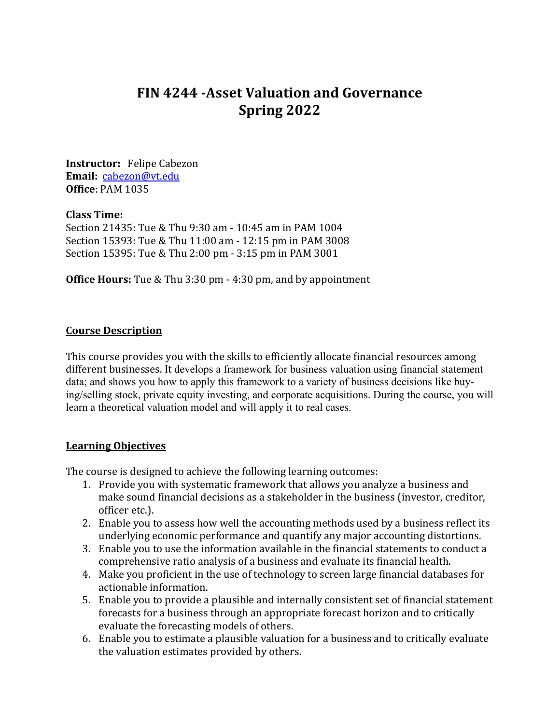# **FIN 4244 -Asset Valuation and Governance Spring 2022**

**Instructor:** Felipe Cabezon **Email:** [cabezon@vt.edu](mailto:cabezon@vt.edu) **Office**: PAM 1035

#### **Class Time:**

Section 21435: Tue & Thu 9:30 am - 10:45 am in PAM 1004 Section 15393: Tue & Thu 11:00 am - 12:15 pm in PAM 3008 Section 15395: Tue & Thu 2:00 pm - 3:15 pm in PAM 3001

**Office Hours:** Tue & Thu 3:30 pm - 4:30 pm, and by appointment

### **Course Description**

This course provides you with the skills to efficiently allocate financial resources among different businesses. It develops a framework for business valuation using financial statement data; and shows you how to apply this framework to a variety of business decisions like buying/selling stock, private equity investing, and corporate acquisitions. During the course, you will learn a theoretical valuation model and will apply it to real cases.

#### **Learning Objectives**

The course is designed to achieve the following learning outcomes:

- 1. Provide you with systematic framework that allows you analyze a business and make sound financial decisions as a stakeholder in the business (investor, creditor, officer etc.).
- 2. Enable you to assess how well the accounting methods used by a business reflect its underlying economic performance and quantify any major accounting distortions.
- 3. Enable you to use the information available in the financial statements to conduct a comprehensive ratio analysis of a business and evaluate its financial health.
- 4. Make you proficient in the use of technology to screen large financial databases for actionable information.
- 5. Enable you to provide a plausible and internally consistent set of financial statement forecasts for a business through an appropriate forecast horizon and to critically evaluate the forecasting models of others.
- 6. Enable you to estimate a plausible valuation for a business and to critically evaluate the valuation estimates provided by others.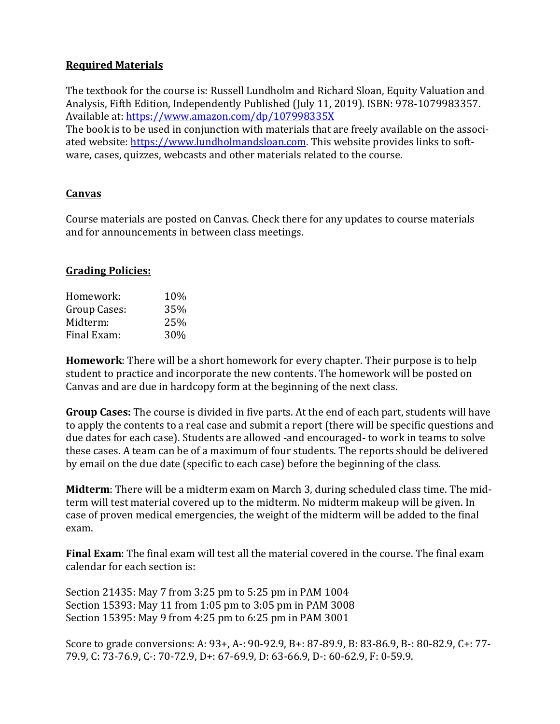# **Required Materials**

The textbook for the course is: Russell Lundholm and Richard Sloan, Equity Valuation and Analysis, Fifth Edition, Independently Published (July 11, 2019). ISBN: 978-1079983357. Available at:<https://www.amazon.com/dp/107998335X>

The book is to be used in conjunction with materials that are freely available on the associated website: [https://www.lundholmandsloan.com.](https://www.lundholmandsloan.com/) This website provides links to software, cases, quizzes, webcasts and other materials related to the course.

# **Canvas**

Course materials are posted on Canvas. Check there for any updates to course materials and for announcements in between class meetings.

# **Grading Policies:**

| 10% |
|-----|
| 35% |
| 25% |
| 30% |
|     |

**Homework**: There will be a short homework for every chapter. Their purpose is to help student to practice and incorporate the new contents. The homework will be posted on Canvas and are due in hardcopy form at the beginning of the next class.

**Group Cases:** The course is divided in five parts. At the end of each part, students will have to apply the contents to a real case and submit a report (there will be specific questions and due dates for each case). Students are allowed -and encouraged- to work in teams to solve these cases. A team can be of a maximum of four students. The reports should be delivered by email on the due date (specific to each case) before the beginning of the class.

**Midterm**: There will be a midterm exam on March 3, during scheduled class time. The midterm will test material covered up to the midterm. No midterm makeup will be given. In case of proven medical emergencies, the weight of the midterm will be added to the final exam.

**Final Exam**: The final exam will test all the material covered in the course. The final exam calendar for each section is:

Section 21435: May 7 from 3:25 pm to 5:25 pm in PAM 1004 Section 15393: May 11 from 1:05 pm to 3:05 pm in PAM 3008 Section 15395: May 9 from 4:25 pm to 6:25 pm in PAM 3001

Score to grade conversions: A: 93+, A-: 90-92.9, B+: 87-89.9, B: 83-86.9, B-: 80-82.9, C+: 77- 79.9, C: 73-76.9, C-: 70-72.9, D+: 67-69.9, D: 63-66.9, D-: 60-62.9, F: 0-59.9.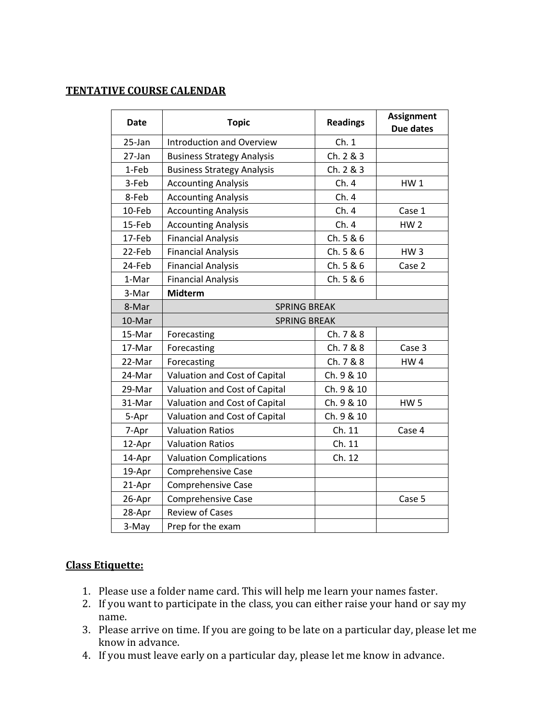# **TENTATIVE COURSE CALENDAR**

| Date   | <b>Topic</b>                      | <b>Readings</b> | <b>Assignment</b><br>Due dates |
|--------|-----------------------------------|-----------------|--------------------------------|
| 25-Jan | <b>Introduction and Overview</b>  | Ch.1            |                                |
| 27-Jan | <b>Business Strategy Analysis</b> | Ch. 2 & 3       |                                |
| 1-Feb  | <b>Business Strategy Analysis</b> | Ch. 2 & 3       |                                |
| 3-Feb  | <b>Accounting Analysis</b>        | Ch.4            | <b>HW1</b>                     |
| 8-Feb  | <b>Accounting Analysis</b>        | Ch.4            |                                |
| 10-Feb | <b>Accounting Analysis</b>        | Ch.4            | Case 1                         |
| 15-Feb | <b>Accounting Analysis</b>        | Ch.4            | HW <sub>2</sub>                |
| 17-Feb | <b>Financial Analysis</b>         | Ch. 5 & 6       |                                |
| 22-Feb | <b>Financial Analysis</b>         | Ch. 5 & 6       | HW <sub>3</sub>                |
| 24-Feb | <b>Financial Analysis</b>         | Ch. 5 & 6       | Case 2                         |
| 1-Mar  | <b>Financial Analysis</b>         | Ch. 5 & 6       |                                |
| 3-Mar  | <b>Midterm</b>                    |                 |                                |
| 8-Mar  | <b>SPRING BREAK</b>               |                 |                                |
| 10-Mar | <b>SPRING BREAK</b>               |                 |                                |
| 15-Mar | Forecasting                       | Ch. 7 & 8       |                                |
| 17-Mar | Forecasting                       | Ch. 7 & 8       | Case 3                         |
| 22-Mar | Forecasting                       | Ch. 7 & 8       | <b>HW4</b>                     |
| 24-Mar | Valuation and Cost of Capital     | Ch. 9 & 10      |                                |
| 29-Mar | Valuation and Cost of Capital     | Ch. 9 & 10      |                                |
| 31-Mar | Valuation and Cost of Capital     | Ch. 9 & 10      | HW <sub>5</sub>                |
| 5-Apr  | Valuation and Cost of Capital     | Ch. 9 & 10      |                                |
| 7-Apr  | <b>Valuation Ratios</b>           | Ch. 11          | Case 4                         |
| 12-Apr | <b>Valuation Ratios</b>           | Ch. 11          |                                |
| 14-Apr | <b>Valuation Complications</b>    | Ch. 12          |                                |
| 19-Apr | <b>Comprehensive Case</b>         |                 |                                |
| 21-Apr | <b>Comprehensive Case</b>         |                 |                                |
| 26-Apr | <b>Comprehensive Case</b>         |                 | Case 5                         |
| 28-Apr | <b>Review of Cases</b>            |                 |                                |
| 3-May  | Prep for the exam                 |                 |                                |

## **Class Etiquette:**

- 1. Please use a folder name card. This will help me learn your names faster.
- 2. If you want to participate in the class, you can either raise your hand or say my name.
- 3. Please arrive on time. If you are going to be late on a particular day, please let me know in advance.
- 4. If you must leave early on a particular day, please let me know in advance.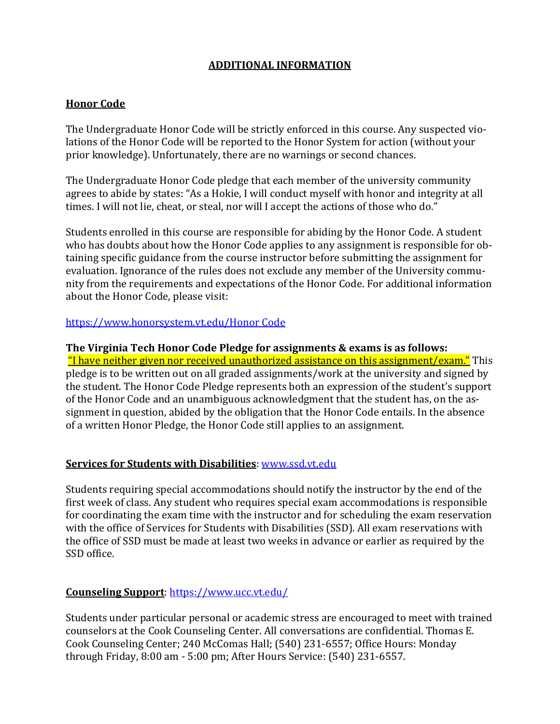# **ADDITIONAL INFORMATION**

# **Honor Code**

The Undergraduate Honor Code will be strictly enforced in this course. Any suspected violations of the Honor Code will be reported to the Honor System for action (without your prior knowledge). Unfortunately, there are no warnings or second chances.

The Undergraduate Honor Code pledge that each member of the university community agrees to abide by states: "As a Hokie, I will conduct myself with honor and integrity at all times. I will not lie, cheat, or steal, nor will I accept the actions of those who do."

Students enrolled in this course are responsible for abiding by the Honor Code. A student who has doubts about how the Honor Code applies to any assignment is responsible for obtaining specific guidance from the course instructor before submitting the assignment for evaluation. Ignorance of the rules does not exclude any member of the University community from the requirements and expectations of the Honor Code. For additional information about the Honor Code, please visit:

### [https://www.honorsystem.vt.edu/Honor Code](https://www.honorsystem.vt.edu/Honor%20Code/)

### **The Virginia Tech Honor Code Pledge for assignments & exams is as follows:**

"I have neither given nor received unauthorized assistance on this assignment/exam." This pledge is to be written out on all graded assignments/work at the university and signed by the student. The Honor Code Pledge represents both an expression of the student's support of the Honor Code and an unambiguous acknowledgment that the student has, on the assignment in question, abided by the obligation that the Honor Code entails. In the absence of a written Honor Pledge, the Honor Code still applies to an assignment.

# **Services for Students with Disabilities**: [www.ssd.vt.edu](http://www.ssd.vt.edu/)

Students requiring special accommodations should notify the instructor by the end of the first week of class. Any student who requires special exam accommodations is responsible for coordinating the exam time with the instructor and for scheduling the exam reservation with the office of Services for Students with Disabilities (SSD). All exam reservations with the office of SSD must be made at least two weeks in advance or earlier as required by the SSD office.

# **Counseling Support**:<https://www.ucc.vt.edu/>

Students under particular personal or academic stress are encouraged to meet with trained counselors at the Cook Counseling Center. All conversations are confidential. Thomas E. Cook Counseling Center; 240 McComas Hall; (540) 231-6557; Office Hours: Monday through Friday, 8:00 am - 5:00 pm; After Hours Service: (540) 231-6557.